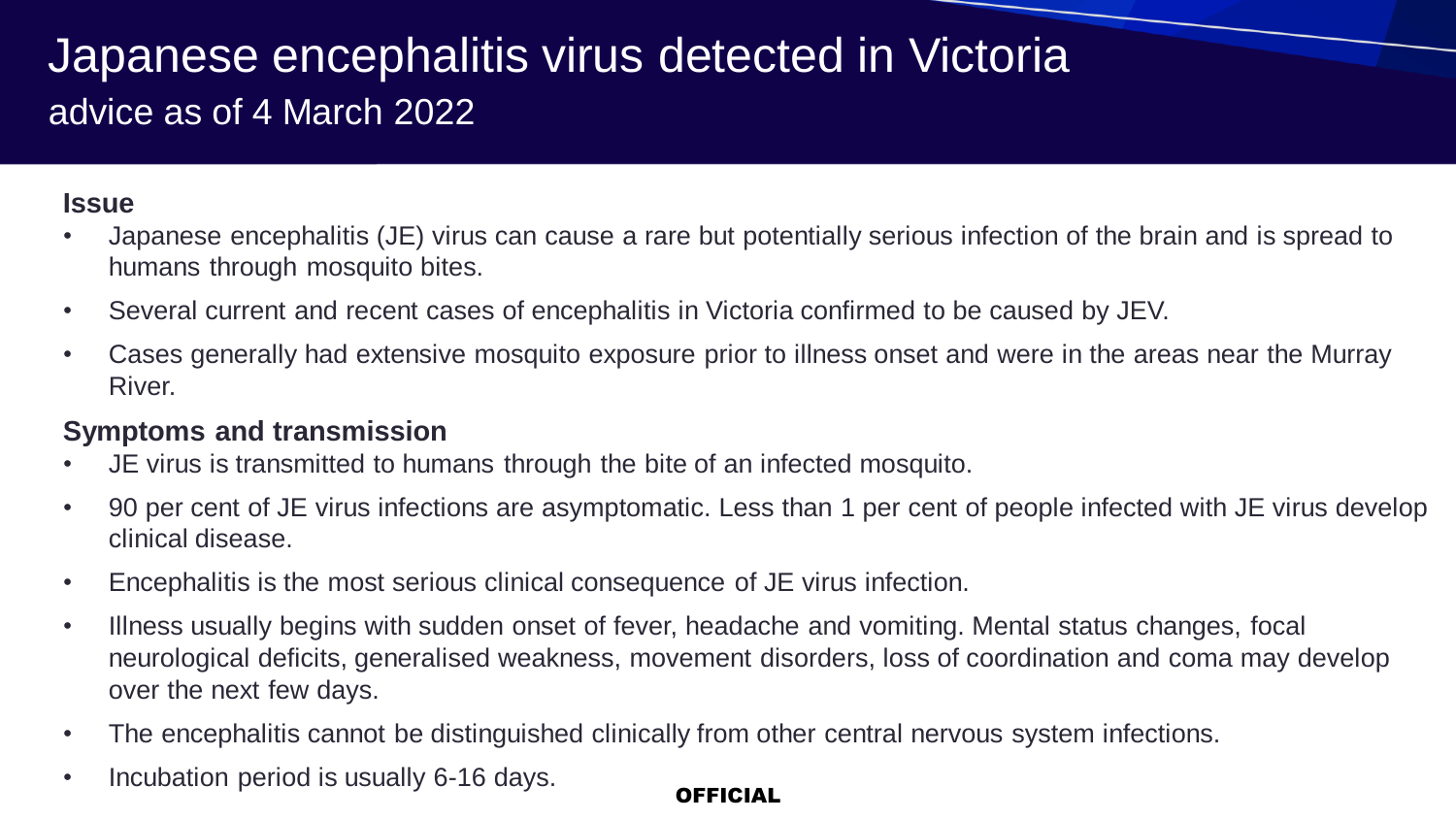## Japanese encephalitis virus detected in Victoria advice as of 4 March 2022

### **Issue**

- Japanese encephalitis (JE) virus can cause a rare but potentially serious infection of the brain and is spread to humans through mosquito bites.
- Several current and recent cases of encephalitis in Victoria confirmed to be caused by JEV.
- Cases generally had extensive mosquito exposure prior to illness onset and were in the areas near the Murray River.

### **Symptoms and transmission**

- JE virus is transmitted to humans through the bite of an infected mosquito.
- 90 per cent of JE virus infections are asymptomatic. Less than 1 per cent of people infected with JE virus develop clinical disease.
- Encephalitis is the most serious clinical consequence of JE virus infection.
- Illness usually begins with sudden onset of fever, headache and vomiting. Mental status changes, focal neurological deficits, generalised weakness, movement disorders, loss of coordination and coma may develop over the next few days.
- The encephalitis cannot be distinguished clinically from other central nervous system infections.
- Incubation period is usually 6-16 days.

### **OFFICIAL**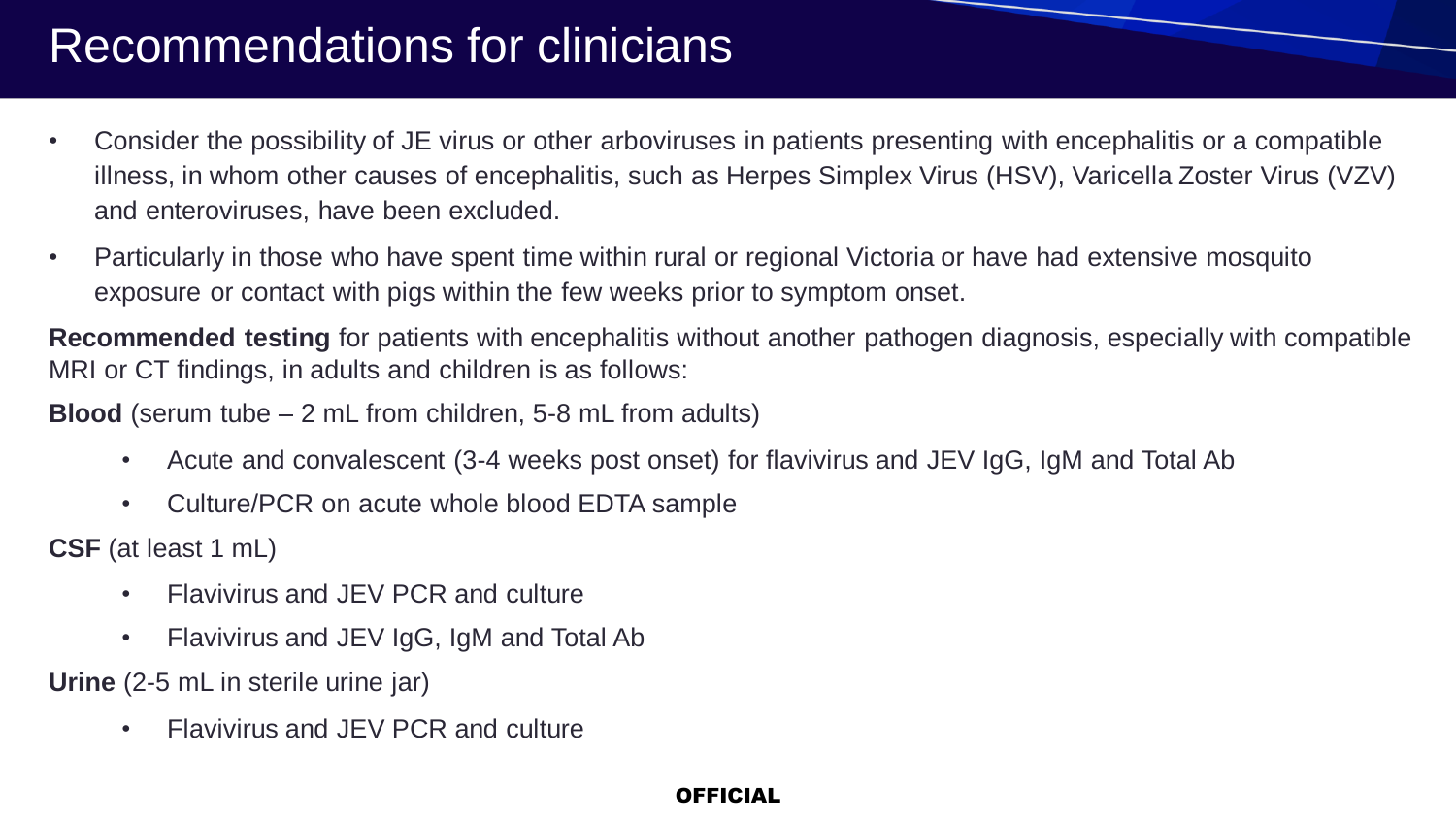# Recommendations for clinicians

- Consider the possibility of JE virus or other arboviruses in patients presenting with encephalitis or a compatible illness, in whom other causes of encephalitis, such as Herpes Simplex Virus (HSV), Varicella Zoster Virus (VZV) and enteroviruses, have been excluded.
- Particularly in those who have spent time within rural or regional Victoria or have had extensive mosquito exposure or contact with pigs within the few weeks prior to symptom onset.

**Recommended testing** for patients with encephalitis without another pathogen diagnosis, especially with compatible MRI or CT findings, in adults and children is as follows:

**Blood** (serum tube – 2 mL from children, 5-8 mL from adults)

- Acute and convalescent (3-4 weeks post onset) for flavivirus and JEV IgG, IgM and Total Ab
- Culture/PCR on acute whole blood EDTA sample

**CSF** (at least 1 mL)

- Flavivirus and JEV PCR and culture
- Flavivirus and JEV IgG, IgM and Total Ab

**Urine** (2-5 mL in sterile urine jar)

• Flavivirus and JEV PCR and culture

### OFFICIAL